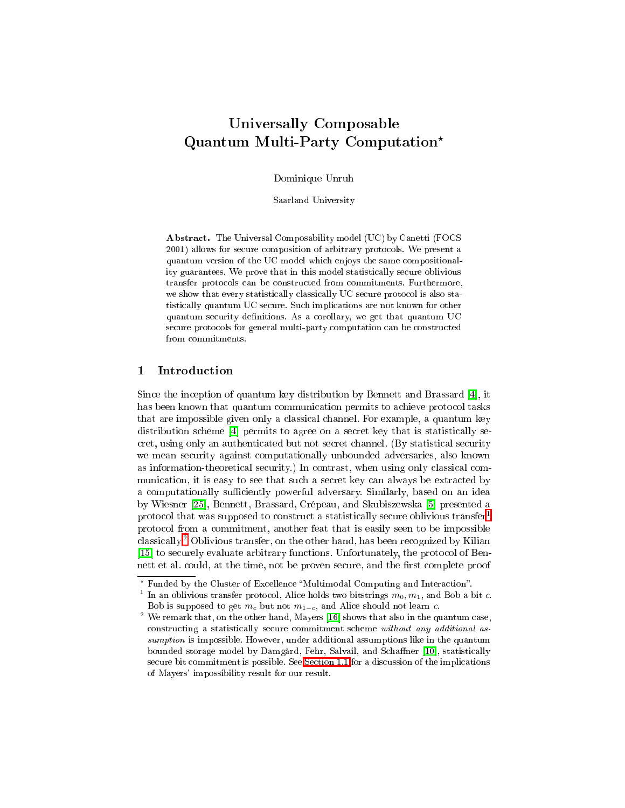# Universally Composable  $Quantum Multi-Party Computation<sup>*</sup>$

Dominique Unruh

Saarland University

Abstract. The Universal Composability model (UC) by Canetti (FOCS 2001) allows for se
ure omposition of arbitrary proto
ols. We present a quantum version of the UC model whi
h enjoys the same ompositionality guarantees. We prove that in this model statisti
ally se
ure oblivious transfer proto
ols an be onstru
ted from ommitments. Furthermore, we show that every statistically classically UC secure protocol is also statisti
ally quantum UC se
ure. Su
h impli
ations are not known for other quantum security definitions. As a corollary, we get that quantum UC se
ure proto
ols for general multi-party omputation an be onstru
ted

#### 1**Introduction**

Since the inception of quantum key distribution by Bennett and Brassard [4], it has been known that quantum communication permits to achieve protocol tasks that are impossible given only a classical channel. For example, a quantum key distribution scheme [4] permits to agree on a secret key that is statistically secret, using only an authenticated but not secret channel. (By statistical security we mean security against computationally unbounded adversaries, also known as information-theoretical security.) In contrast, when using only classical communication, it is easy to see that such a secret key can always be extracted by a computationally sufficiently powerful adversary. Similarly, based on an idea by Wiesner [25], Bennett, Brassard, Crépeau, and Skubiszewska [5] presented a protocol that was supposed to construct a statistically secure oblivious transfer<sup>[1](#page-0-0)</sup> proto
ol from a ommitment, another feat that is easily seen to be impossible lassi
ally[.2](#page-0-1) Oblivious transfer, on the other hand, has been re
ognized by Kilian [15] to securely evaluate arbitrary functions. Unfortunately, the protocol of Bennett et al. could, at the time, not be proven secure, and the first complete proof

<sup>\*</sup> Funded by the Cluster of Excellence "Multimodal Computing and Interaction".

<span id="page-0-0"></span>In an oblivious transfer protocol, Alice holds two bitstrings  $m_0, m_1$ , and Bob a bit c. Bob is supposed to get  $m_c$  but not  $m_{1-c}$ , and Alice should not learn c.

<span id="page-0-1"></span> $^-$  We remark that, on the other hand, Mayers [16] shows that also in the quantum case, constructing a statistically secure commitment scheme without any additional assumption is impossible. However, under additional assumptions like in the quantum bounded storage model by Damgård, Fehr, Salvail, and Schaffner [10], statistically secure bit commitment is possible. See Section 1.1 for a discussion of the implications of Mayers' impossibility result for our result.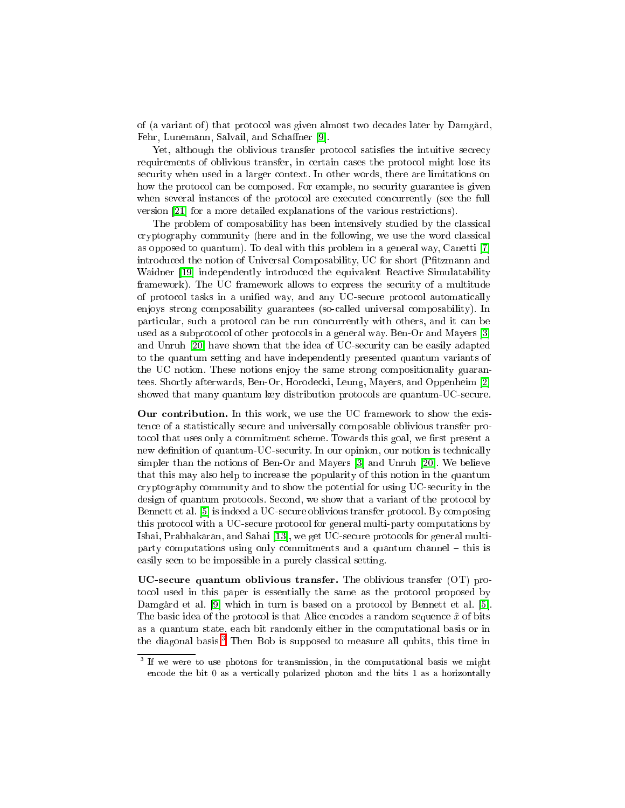of (a variant of ) that proto
ol was given almost two de
ades later by Damgård, Fehr, Lunemann, Salvail, and Schaffner [9].

Yet, although the oblivious transfer protocol satisfies the intuitive secrecy requirements of oblivious transfer, in certain cases the protocol might lose its security when used in a larger context. In other words, there are limitations on how the protocol can be composed. For example, no security guarantee is given when several instances of the protocol are executed concurrently (see the full version [21] for a more detailed explanations of the various restrictions).

The problem of composability has been intensively studied by the classical cryptography community (here and in the following, we use the word classical as opposed to quantum). To deal with this problem in a general way, Canetti  $[7]$ introduced the notion of Universal Composability, UC for short (Pfitzmann and Waidner [19] independently introduced the equivalent Reactive Simulatability framework). The UC framework allows to express the se
urity of a multitude of protocol tasks in a unified way, and any UC-secure protocol automatically enjoys strong omposability guarantees (soalled universal omposability). In parti
ular, su
h a proto
ol an be run on
urrently with others, and it an be used as a subprotocol of other protocols in a general way. Ben-Or and Mayers [3] and Unruh [20] have shown that the idea of UC-security can be easily adapted to the quantum setting and have independently presented quantum variants of the UC notion. These notions enjoy the same strong compositionality guarantees. Shortly afterwards, Ben-Or, Horodecki, Leung, Mayers, and Oppenheim [2] showed that many quantum key distribution protocols are quantum-UC-secure.

Our contribution. In this work, we use the UC framework to show the existen
e of a statisti
ally se
ure and universally omposable oblivious transfer protocol that uses only a commitment scheme. Towards this goal, we first present a new definition of quantum-UC-security. In our opinion, our notion is technically simpler than the notions of Ben-Or and Mayers  $[3]$  and Unruh  $[20]$ . We believe that this may also help to in
rease the popularity of this notion in the quantum ryptography ommunity and to show the potential for using UC-se
urity in the design of quantum protocols. Second, we show that a variant of the protocol by Bennett et al. [5] is indeed a UC-secure oblivious transfer protocol. By composing this proto
ol with a UC-se
ure proto
ol for general multi-party omputations by Ishai, Prabhakaran, and Sahai [13], we get UC-secure protocols for general multiparty omputations using only ommitments and a quantum hannel this is easily seen to be impossible in a purely lassi
al setting.

UC-secure quantum oblivious transfer. The oblivious transfer (OT) proto
ol used in this paper is essentially the same as the proto
ol proposed by Damgård et al. [9] which in turn is based on a protocol by Bennett et al. [5]. The basic idea of the protocol is that Alice encodes a random sequence  $\tilde{x}$  of bits as a quantum state, each bit randomly either in the computational basis or in the diagonal basis.<sup>3</sup> Then Bob is supposed to measure all qubits, this time in

<span id="page-1-0"></span><sup>3</sup> If we were to use photons for transmission, in the omputational basis we might en
ode the bit 0 as <sup>a</sup> verti
ally polarized photon and the bits 1 as <sup>a</sup> horizontally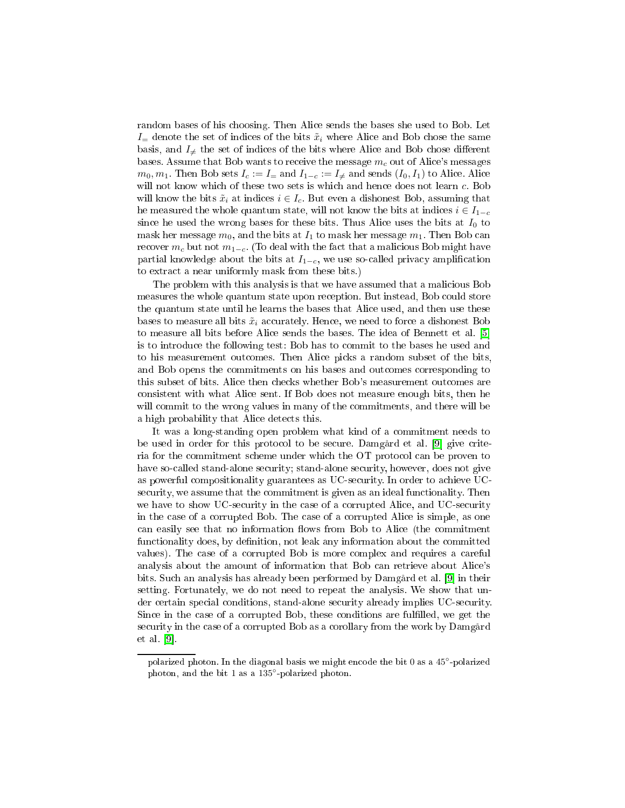random bases of his hoosing. Then Ali
e sends the bases she used to Bob. Let  $I_{\pm}$  denote the set of indices of the bits  $\tilde{x}_i$  where Alice and Bob chose the same basis, and  $I_{\neq}$  the set of indices of the bits where Alice and Bob chose different bases. Assume that Bob wants to receive the message  $m_c$  out of Alice's messages  $m_0, m_1$ . Then Bob sets  $I_c := I_{\equiv}$  and  $I_{1-c} := I_{\neq}$  and sends  $(I_0, I_1)$  to Alice. Alice will not know which of these two sets is which and hence does not learn  $c$ . Bob will know the bits  $\tilde{x}_i$  at indices  $i \in I_c$ . But even a dishonest Bob, assuming that he measured the whole quantum state, will not know the bits at indices  $i \in I_{1-c}$ since he used the wrong bases for these bits. Thus Alice uses the bits at  $I_0$  to mask her message  $m_0$ , and the bits at  $I_1$  to mask her message  $m_1$ . Then Bob can recover  $m_c$  but not  $m_{1-c}$ . (To deal with the fact that a malicious Bob might have partial knowledge about the bits at  $I_{1-c}$ , we use so-called privacy amplification to extract a near uniformly mask from these bits.)

The problem with this analysis is that we have assumed that a mali
ious Bob measures the whole quantum state upon re
eption. But instead, Bob ould store the quantum state until he learns the bases that Ali
e used, and then use these bases to measure all bits  $\tilde{x}_i$  accurately. Hence, we need to force a dishonest Bob to measure all bits before Alice sends the bases. The idea of Bennett et al. [5] is to introdu
e the following test: Bob has to ommit to the bases he used and to his measurement out
omes. Then Ali
e pi
ks a random subset of the bits, and Bob opens the ommitments on his bases and out
omes orresponding to this subset of bits. Ali
e then he
ks whether Bob's measurement out
omes are onsistent with what Ali
e sent. If Bob does not measure enough bits, then he will ommit to the wrong values in many of the ommitments, and there will be a high probability that Alice detects this.

It was a long-standing open problem what kind of a commitment needs to be used in order for this protocol to be secure. Damgård et al. [9] give criteria for the ommitment s
heme under whi
h the OT proto
ol an be proven to have soalled stand-alone se
urity; stand-alone se
urity, however, does not give as powerful ompositionality guarantees as UC-se
urity. In order to a
hieve UCsecurity, we assume that the commitment is given as an ideal functionality. Then we have to show UC-security in the case of a corrupted Alice, and UC-security in the case of a corrupted Bob. The case of a corrupted Alice is simple, as one can easily see that no information flows from Bob to Alice (the commitment functionality does, by definition, not leak any information about the committed values). The case of a corrupted Bob is more complex and requires a careful analysis about the amount of information that Bob an retrieve about Ali
e's bits. Such an analysis has already been performed by Damgård et al. [9] in their setting. Fortunately, we do not need to repeat the analysis. We show that under ertain spe
ial onditions, stand-alone se
urity already implies UC-se
urity. Since in the case of a corrupted Bob, these conditions are fulfilled, we get the security in the case of a corrupted Bob as a corollary from the work by Damgård et al.  $[9]$ .

polarized photon. In the diagonal basis we might encode the bit 0 as a 45°-polarized photon, and the bit 1 as <sup>a</sup> 135◦ -polarized photon.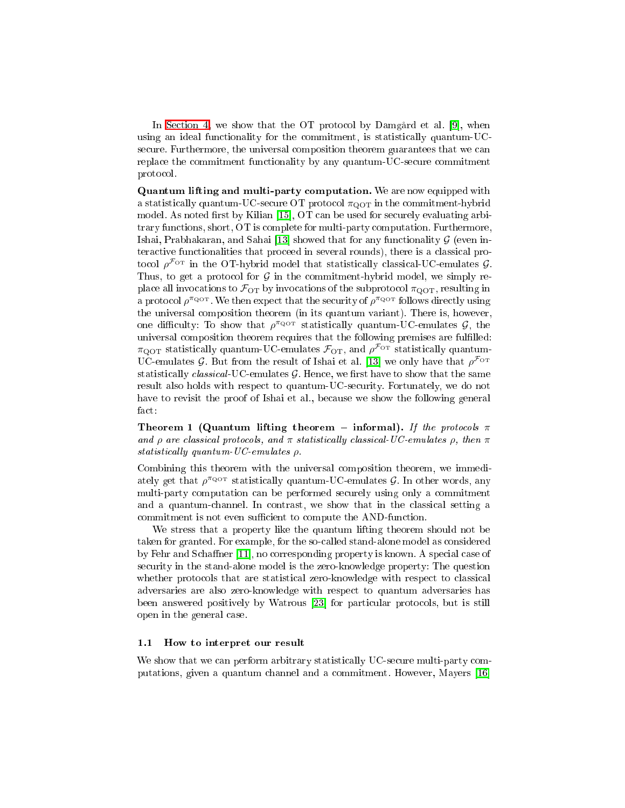In Section 4, we show that the OT protocol by Damgård et al.  $[9]$ , when using an ideal fun
tionality for the ommitment, is statisti
ally quantum-UCsecure. Furthermore, the universal composition theorem guarantees that we can replace the commitment functionality by any quantum-UC-secure commitment proto
ol.

Quantum lifting and multi-party omputation. We are now equipped with a statistically quantum-UC-secure OT protocol  $\pi_{\text{QOT}}$  in the commitment-hybrid model. As noted first by Kilian  $[15]$ , OT can be used for securely evaluating arbitrary fun
tions, short, OT is omplete for multi-party omputation. Furthermore, Ishai, Prabhakaran, and Sahai [13] showed that for any functionality  $\mathcal G$  (even interactive functionalities that proceed in several rounds), there is a classical protocol  $\rho^{\mathcal{F}_{\text{OT}}}$  in the OT-hybrid model that statistically classical-UC-emulates  $\mathcal{G}$ . Thus, to get a protocol for  $\mathcal G$  in the commitment-hybrid model, we simply replace all invocations to  $\mathcal{F}_{\text{OT}}$  by invocations of the subprotocol  $\pi_{\text{OOT}}$ , resulting in a protocol  $\rho^{\pi_{\text{QOT}}}$ . We then expect that the security of  $\rho^{\pi_{\text{QOT}}}$  follows directly using the universal omposition theorem (in its quantum variant). There is, however, one difficulty: To show that  $\rho^{\pi_{\text{QOT}}}$  statistically quantum-UC-emulates  $\mathcal{G}$ , the universal omposition theorem requires that the following premises are fullled:  $\pi_{\rm QOT}$  statistically quantum-UC-emulates  $\mathcal{F}_{\rm OT}$ , and  $\rho^{\mathcal{F}_{\rm OT}}$  statistically quantum-UC-emulates G. But from the result of Ishai et al. [13] we only have that  $\rho^{\mathcal{F}_{\text{OT}}}$ statistically *classical*-UC-emulates  $G$ . Hence, we first have to show that the same result also holds with respe
t to quantum-UC-se
urity. Fortunately, we do not have to revisit the proof of Ishai et al., because we show the following general fact:

Theorem 1 (Quantum lifting theorem – informal). If the protocols  $\pi$ and  $\rho$  are classical protocols, and  $\pi$  statistically classical-UC-emulates  $\rho$ , then  $\pi$ statistically quantum-UC-emulates  $\rho$ .

Combining this theorem with the universal omposition theorem, we immediately get that  $\rho^{\pi_{\text{QOT}}}$  statistically quantum-UC-emulates  $\mathcal{G}$ . In other words, any multi-party computation can be performed securely using only a commitment and a quantumhannel. In ontrast, we show that in the lassi
al setting a commitment is not even sufficient to compute the AND-function.

We stress that a property like the quantum lifting theorem should not be taken for granted. For example, for the soalled stand-alone model as onsidered by Fehr and Schaffner [11], no corresponding property is known. A special case of se
urity in the stand-alone model is the zero-knowledge property: The question whether protocols that are statistical zero-knowledge with respect to classical adversaries are also zero-knowledge with respe
t to quantum adversaries has been answered positively by Watrous [23] for particular protocols, but is still open in the general ase.

### <span id="page-3-0"></span>1.1 How to interpret our result

We show that we can perform arbitrary statistically UC-secure multi-party computations, given a quantum channel and a commitment. However, Mayers [16]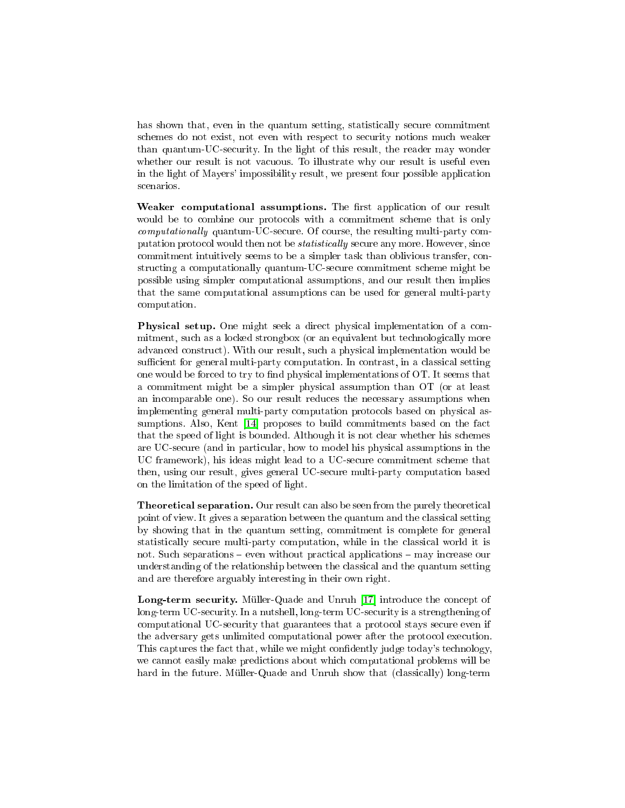has shown that, even in the quantum setting, statistically secure commitment s
hemes do not exist, not even with respe
t to se
urity notions mu
h weaker than quantum-UC-security. In the light of this result, the reader may wonder whether our result is not vacuous. To illustrate why our result is useful even in the light of Mayers' impossibility result, we present four possible application s
enarios.

Weaker computational assumptions. The first application of our result would be to combine our protocols with a commitment scheme that is only computationally quantum-UC-secure. Of course, the resulting multi-party computation protocol would then not be *statistically* secure any more. However, since ommitment intuitively seems to be a simpler task than oblivious transfer, onstru
ting a omputationally quantum-UC-se
ure ommitment s
heme might be possible using simpler omputational assumptions, and our result then implies that the same omputational assumptions an be used for general multi-party omputation.

Physical setup. One might seek a direct physical implementation of a commitment, such as a locked strongbox (or an equivalent but technologically more advanced construct). With our result, such a physical implementation would be advan
ed onstru
t). With our result, su
h a physi
al implementation would be sufficient for general multi-party computation. In contrast, in a classical setting one would be forced to try to find physical implementations of OT. It seems that a ommitment might be a simpler physi
al assumption than OT (or at least an incomparable one). So our result reduces the necessary assumptions when implementing general multi-party computation protocols based on physical assumptions. Also, Kent [14] proposes to build commitments based on the fact that the speed of light is bounded. Although it is not lear whether his s
hemes are UC-se
ure (and in parti
ular, how to model his physi
al assumptions in the UC framework), his ideas might lead to a UC-se
ure ommitment s
heme that then, using our result, gives general UC-secure multi-party computation based on the limitation of the speed of light.

Theoretical separation. Our result can also be seen from the purely theoretical point of view. It gives a separation between the quantum and the classical setting by showing that in the quantum setting, ommitment is omplete for general statisti
ally se
ure multi-party omputation, while in the lassi
al world it is not. Such separations – even without practical applications – may increase our understanding of the relationship between the lassi
al and the quantum setting and are therefore arguably interesting in their own right.

Long-term security. Müller-Quade and Unruh [17] introduce the concept of long-term UC-security. In a nutshell, long-term UC-security is a strengthening of computational UC-security that guarantees that a protocol stays secure even if the adversary gets unlimited computational power after the protocol execution. This captures the fact that, while we might confidently judge today's technology, we cannot easily make predictions about which computational problems will be hard in the future. Müller-Quade and Unruh show that (classically) long-term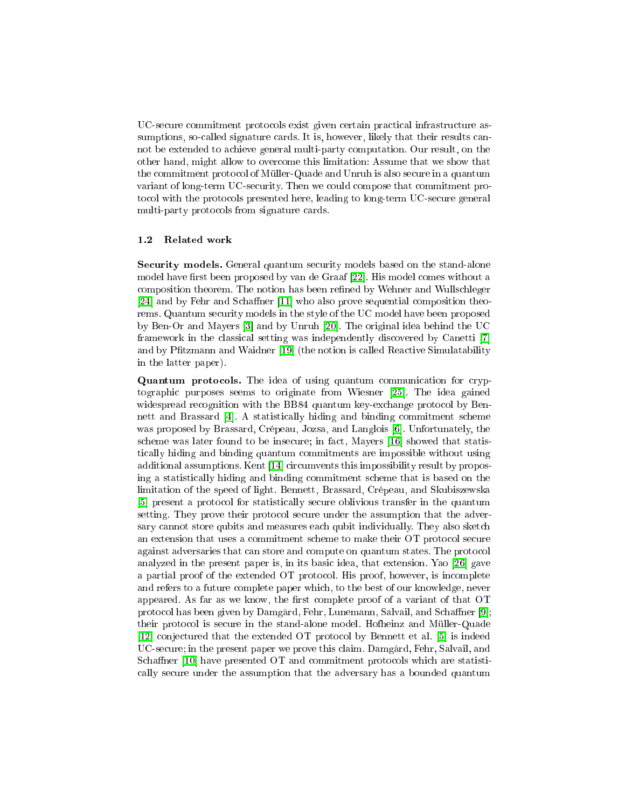UC-secure commitment protocols exist given certain practical infrastructure assumptions, so-called signature cards. It is, however, likely that their results cannot be extended to a
hieve general multi-party omputation. Our result, on the other hand, might allow to over
ome this limitation: Assume that we show that the commitment protocol of Müller-Quade and Unruh is also secure in a quantum variant of long-term UC-security. Then we could compose that commitment proto
ol with the proto
ols presented here, leading to long-term UC-se
ure general multi-party protocols from signature cards.

### 1.2 Related work

Security models. General quantum security models based on the stand-alone model have first been proposed by van de Graaf [22]. His model comes without a composition theorem. The notion has been refined by Wehner and Wullschleger [24] and by Fehr and Schaffner [11] who also prove sequential composition theorems. Quantum security models in the style of the UC model have been proposed by Ben-Or and Mayers [3] and by Unruh [20]. The original idea behind the UC framework in the classical setting was independently discovered by Canetti [7] and by Pfitzmann and Waidner  $[19]$  (the notion is called Reactive Simulatability in the latter paper).

Quantum protocols. The idea of using quantum communication for cryptographic purposes seems to originate from Wiesner [25]. The idea gained widespread recognition with the BB84 quantum key-exchange protocol by Bennett and Brassard [4]. A statistically hiding and binding commitment scheme was proposed by Brassard, Crépeau, Jozsa, and Langlois [6]. Unfortunately, the scheme was later found to be insecure; in fact, Mayers [16] showed that statisti
ally hiding and binding quantum ommitments are impossible without using additional assumptions. Kent  $[14]$  circumvents this impossibility result by proposing a statisti
ally hiding and binding ommitment s
heme that is based on the limitation of the speed of light. Bennett, Brassard, Crépeau, and Skubiszewska [5] present a protocol for statistically secure oblivious transfer in the quantum setting. They prove their protocol secure under the assumption that the adversary cannot store qubits and measures each qubit individually. They also sketch an extension that uses a ommitment s
heme to make their OT proto
ol se
ure against adversaries that can store and compute on quantum states. The protocol analyzed in the present paper is, in its basic idea, that extension. Yao  $[26]$  gave a partial proof of the extended OT proto
ol. His proof, however, is in
omplete and refers to a future omplete paper whi
h, to the best of our knowledge, never appeared. As far as we know, the first complete proof of a variant of that  $OT$ protocol has been given by Damgård, Fehr, Lunemann, Salvail, and Schaffner [9]; their proto
ol is se
ure in the stand-alone model. Hofheinz and Müller-Quade [12] conjectured that the extended OT protocol by Bennett et al. [5] is indeed UC-se
ure; in the present paper we prove this laim. Damgård, Fehr, Salvail, and Schaffner [10] have presented OT and commitment protocols which are statistially se
ure under the assumption that the adversary has a bounded quantum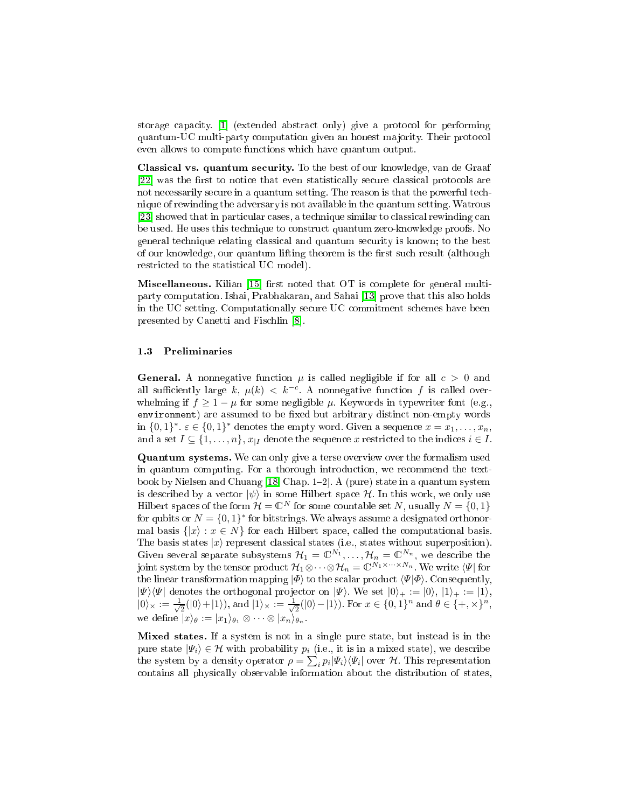storage capacity. [1] (extended abstract only) give a protocol for performing quantum-UC multi-party computation given an honest majority. Their protocol even allows to compute functions which have quantum output.

Classical vs. quantum security. To the best of our knowledge, van de Graaf [22] was the first to notice that even statistically secure classical protocols are not necessarily secure in a quantum setting. The reason is that the powerful technique of rewinding the adversary is not available in the quantum setting. Watrous [23] showed that in particular cases, a technique similar to classical rewinding can be used. He uses this technique to construct quantum zero-knowledge proofs. No general te
hnique relating lassi
al and quantum se
urity is known; to the best of our knowledge, our quantum lifting theorem is the first such result (although restri
ted to the statisti
al UC model).

Miscellaneous. Kilian [15] first noted that OT is complete for general multiparty computation. Ishai, Prabhakaran, and Sahai [13] prove that this also holds in the UC setting. Computationally se
ure UC ommitment s
hemes have been presented by Canetti and Fischlin [8].

## 1.3 Preliminaries

**General.** A nonnegative function  $\mu$  is called negligible if for all  $c > 0$  and all sufficiently large  $k, \mu(k) < k^{-c}$ . A nonnegative function f is called overwhelming if  $f \geq 1 - \mu$  for some negligible  $\mu$ . Keywords in typewriter font (e.g., environment) are assumed to be fixed but arbitrary distinct non-empty words in  $\{0,1\}^*$ .  $\varepsilon \in \{0,1\}^*$  denotes the empty word. Given a sequence  $x = x_1, \ldots, x_n$ , and a set  $I \subseteq \{1, \ldots, n\}$ ,  $x_{|I}$  denote the sequence x restricted to the indices  $i \in I$ .

**Quantum systems.** We can only give a terse overview over the formalism used in quantum computing. For a thorough introduction, we recommend the text-book by Nielsen and Chuang [\[18,](#page-19-18) Chap. 1–2]. A (pure) state in a quantum system is described by a vector  $|\psi\rangle$  in some Hilbert space H. In this work, we only use Hilbert spaces of the form  $\mathcal{H} = \mathbb{C}^N$  for some countable set N, usually  $N = \{0, 1\}$ for qubits or  $N=\{0,1\}^*$  for bitstrings. We always assume a designated orthonormal basis  $\{|x\rangle : x \in N\}$  for each Hilbert space, called the computational basis. The basis states  $|x\rangle$  represent classical states (i.e., states without superposition). Given several separate subsystems  $\mathcal{H}_1 = \mathbb{C}^{N_1}, \ldots, \mathcal{H}_n = \mathbb{C}^{N_n},$  we describe the joint system by the tensor product  $\mathcal{H}_1\otimes\cdots\otimes\mathcal{H}_n=\mathbb{C}^{N_1\times\cdots\times N_n}.$  We write  $\bra{\varPsi}$  for the linear transformation mapping  $|\Phi\rangle$  to the scalar product  $\langle\Psi|\Phi\rangle$ . Consequently,  $|\Psi\rangle\langle\Psi|$  denotes the orthogonal projector on  $|\Psi\rangle$ . We set  $|0\rangle_+ := |0\rangle, |1\rangle_+ := |1\rangle,$  $|0\rangle_{\times} := \frac{1}{\sqrt{2}}$  $\frac{1}{2}(|0\rangle+|1\rangle)$ , and  $|1\rangle_{\times}:=\frac{1}{\sqrt{2}}$  $\frac{1}{2}(|0\rangle - |1\rangle)$ . For  $x \in \{0, 1\}^n$  and  $\theta \in \{+, \times\}^n$ , we define  $|x\rangle_{\theta} := |x_1\rangle_{\theta_1} \otimes \cdots \otimes |x_n\rangle_{\theta_n}$ .

Mixed states. If a system is not in a single pure state, but instead is in the pure state  $|\Psi_i\rangle \in \mathcal{H}$  with probability  $p_i$  (i.e., it is in a mixed state), we describe the system by a density operator  $\rho = \sum_i p_i |\Psi_i\rangle\langle\Psi_i|$  over  ${\cal H}$ . This representation ontains all physi
ally observable information about the distribution of states,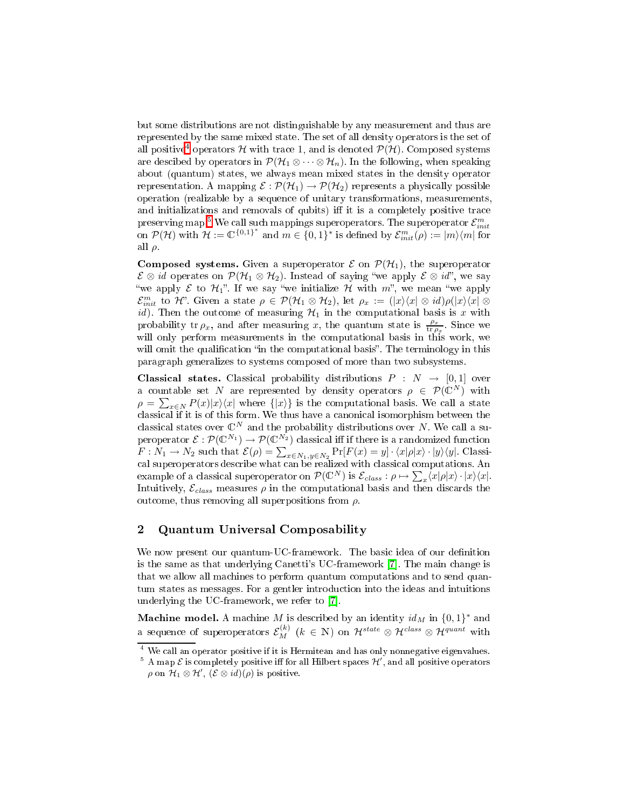but some distributions are not distinguishable by any measurement and thus are represented by the same mixed state. The set of all density operators is the set of all positive $^4$  operators  ${\cal H}$  with trace 1, and is denoted  ${\cal P}({\cal H})$ . Composed systems are descibed by operators in  $\mathcal{P}(\mathcal{H}_1 \otimes \cdots \otimes \mathcal{H}_n)$ . In the following, when speaking about (quantum) states, we always mean mixed states in the density operator representation. A mapping  $\mathcal{E}: \mathcal{P}(\mathcal{H}_1) \to \mathcal{P}(\mathcal{H}_2)$  represents a physically possible operation (realizable by a sequen
e of unitary transformations, measurements, and initializations and removals of qubits) iff it is a completely positive trace preserving map.<sup>[5](#page-7-1)</sup> We call such mappings superoperators. The superoperator  $\mathcal{E}_{init}^m$  on  $\mathcal{P}(\mathcal{H})$  with  $\mathcal{H} := \mathbb{C}^{\{0,1\}^*}$  and  $m \in \{0,1\}^*$  is defined by  $\mathcal{E}_{init}^m(\rho) := |m\rangle\langle m|$  for all  $ρ$ .

**Composed systems.** Given a superoperator  $\mathcal{E}$  on  $\mathcal{P}(\mathcal{H}_1)$ , the superoperator  $\mathcal{E} \otimes id$  operates on  $\mathcal{P}(\mathcal{H}_1 \otimes \mathcal{H}_2)$ . Instead of saying "we apply  $\mathcal{E} \otimes id$ ", we say "we apply  $\mathcal E$  to  $\mathcal H_1$ ". If we say "we initialize  $\mathcal H$  with  $m$ ", we mean "we apply  $\mathcal{E}_{init}^m$  to  $\mathcal{H}^n$ . Given a state  $\rho \in \mathcal{P}(\mathcal{H}_1 \otimes \mathcal{H}_2)$ , let  $\rho_x := (|x\rangle\langle x| \otimes id)\rho(|x\rangle\langle x| \otimes id)$ *id*). Then the outcome of measuring  $\mathcal{H}_1$  in the computational basis is x with probability tr  $\rho_x$ , and after measuring x, the quantum state is  $\frac{\rho_x}{\text{tr}\rho_x}$ . Since we will only perform measurements in this work, we have a sense work, we have well work, we will omit the qualification "in the computational basis". The terminology in this paragraph generalizes to systems omposed of more than two subsystems.

**Classical states.** Classical probability distributions  $P : N \rightarrow [0,1]$  over a countable set N are represented by density operators  $\rho \in \mathcal{P}(\mathbb{C}^N)$  with  $\rho = \sum_{x \in N} P(x)|x\rangle\langle x|$  where  $\{|x\rangle\}$  is the computational basis. We call a state classical if it is of this form. We thus have a canonical isomorphism between the classical states over  $\mathbb{C}^N$  and the probability distributions over N. We call a superoperator  $\mathcal{E}: \mathcal{P}(\mathbb{C}^{N_1}) \to \mathcal{P}(\mathbb{C}^{N_2})$  classical iff if there is a randomized function  $F: N_1 \to N_2$  such that  $\mathcal{E}(\rho) = \sum_{x \in N_1, y \in N_2} \Pr[F(x) = y] \cdot \langle x | \rho | x \rangle \cdot | y \rangle \langle y |$  Classial superoperators des
ribe what an be realized with lassi
al omputations. An example of a classical superoperator on  $\mathcal{P}(\mathbb{C}^N)$  is  $\mathcal{E}_{class} : \rho \mapsto \sum_x \langle x|\rho|x\rangle \cdot |x\rangle \langle x|.$ Intuitively,  $\mathcal{E}_{class}$  measures  $\rho$  in the computational basis and then discards the outcome, thus removing all superpositions from  $\rho$ .

#### $\overline{2}$ Quantum Universal Composability

We now present our quantum-UC-framework. The basic idea of our definition is the same as that underlying Canetti's UC-framework  $[7]$ . The main change is that we allow all ma
hines to perform quantum omputations and to send quantum states as messages. For a gentler introduction into the ideas and intuitions underlying the UC-framework, we refer to  $[7]$ .

Machine model. A machine M is described by an identity  $id_M$  in  $\{0,1\}^*$  and a sequence of superoperators  $\mathcal{E}_M^{(k)}$   $(k \in \mathbb{N})$  on  $\mathcal{H}^{state} \otimes \mathcal{H}^{class} \otimes \mathcal{H}^{quant}$  with

 $^\circ$  We call an operator positive if it is Hermitean and has only nonnegative eigenvalues.

<span id="page-7-1"></span><span id="page-7-0"></span><sup>&</sup>lt;sup>5</sup> A map  $\mathcal E$  is completely positive iff for all Hilbert spaces  $\mathcal H^{'},$  and all positive operators  $\rho$  on  $\mathcal{H}_1 \otimes \mathcal{H}'$ ,  $(\mathcal{E} \otimes id)(\rho)$  is positive.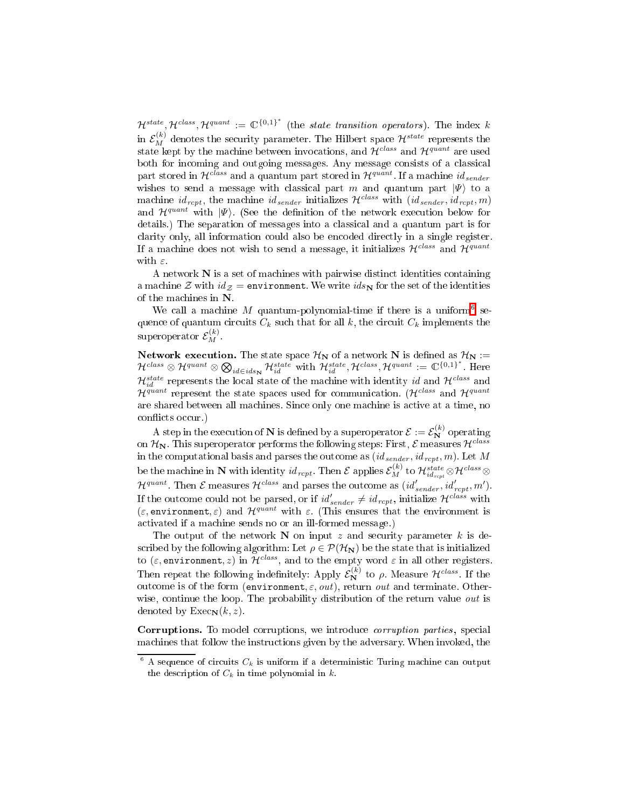$\mathcal{H}^{state}$ ,  $\mathcal{H}^{class}$ ,  $\mathcal{H}^{quant} := \mathbb{C}^{\{0,1\}^*}$  (the state transition operators). The index k in  $\mathcal{E}_M^{(k)}$  denotes the security parameter. The Hilbert space  $\mathcal{H}^{state}$  represents the state kept by the machine between invocations, and  $\mathcal{H}^{class}$  and  $\mathcal{H}^{quant}$  are used both for incoming and outgoing messages. Any message consists of a classical part stored in  $\mathcal{H}^{class}$  and a quantum part stored in  $\mathcal{H}^{quant}$ . If a machine  $id_{sender}$ wishes to send a message with classical part m and quantum part  $|\Psi\rangle$  to a machine  $id_{rcpt}$ , the machine  $id_{sender}$  initializes  $\mathcal{H}^{class}$  with  $(id_{sender}, id_{rcpt}, m)$ and  $\mathcal{H}^{quant}$  with  $|\Psi\rangle$ . (See the definition of the network execution below for details.) The separation of messages into a classical and a quantum part is for clarity only, all information could also be encoded directly in a single register. If a machine does not wish to send a message, it initializes  $\mathcal{H}^{class}$  and  $\mathcal{H}^{quant}$ with  $\varepsilon$ .

A network N is a set of machines with pairwise distinct identities containing a machine Z with  $id_{\mathcal{Z}}$  = environment. We write  $ids_N$  for the set of the identities of the ma
hines in N.

We call a machine M quantum-polynomial-time if there is a uniform<sup>6</sup> sequence of quantum circuits  $C_k$  such that for all k, the circuit  $C_k$  implements the superoperator  $\mathcal{E}_M^{(k)}$ .

Network execution. The state space  $\mathcal{H}_{N}$  of a network N is defined as  $\mathcal{H}_{N}$  :=  $\mathcal{H}^{class}_{id} \otimes \mathcal{H}^{quant} \otimes \bigotimes_{id \in id_{\mathbf{SN}}} \mathcal{H}^{state}_{id}$  with  $\mathcal{H}^{state}_{id}$ ,  $\mathcal{H}^{class}$ ,  $\mathcal{H}^{quant} := \mathbb{C}^{\{0,1\}^*}$ . Here  $\mathcal{H}^{state}_{id}$  represents the local state of the machine with identity *id* and  $\mathcal{H}^{class}$  and  $\mathcal{H}^{quant}$  represent the state spaces used for communication. ( $\mathcal{H}^{class}$  and  $\mathcal{H}^{quant}$ are shared between all machines. Since only one machine is active at a time, no conflicts occur.)

A step in the execution of **N** is defined by a superoperator  $\mathcal{E} := \mathcal{E}_{\mathbf{N}}^{(k)}$  operating on  $\mathcal{H}_{\mathbf{N}}$ . This superoperator performs the following steps: First,  $\mathcal{E}$  measures  $\mathcal{H}^{class}$ in the computational basis and parses the outcome as  $(id_{sender}, id_{rcpt}, m)$ . Let M be the machine in  $\bf N$  with identity  $id_{rcpt}.$  Then  $\cal E$  applies  $\mathcal E_M^{(k)}$  to  $\cal H^{state}_{id_{rcpt}}$   $\otimes \cal H^{class}$   $\otimes$  $\mathcal{H}^{quant}$ . Then  $\mathcal E$  measures  $\mathcal{H}^{class}$  and parses the outcome as  $(id'_{sender}, id'_{rcpt}, m').$ If the outcome could not be parsed, or if  $id'_{sender} \neq id_{rcpt},$  initialize  $\mathcal{H}^{class}$  with  $(\varepsilon,$  environment,  $\varepsilon)$  and  $\mathcal{H}^{quant}$  with  $\varepsilon$ . (This ensures that the environment is a
tivated if a ma
hine sends no or an ill-formed message.)

The output of the network  $N$  on input z and security parameter k is described by the following algorithm: Let  $\rho \in \mathcal{P}(\mathcal{H}_{N})$  be the state that is initialized to ( $\varepsilon$ , environment,  $z$ ) in  $\mathcal{H}^{class}$ , and to the empty word  $\varepsilon$  in all other registers. Then repeat the following indefinitely: Apply  $\mathcal{E}_\textbf{N}^{(k)}$  to  $\rho$ . Measure  $\mathcal{H}^{class}$ . If the outcome is of the form (environment,  $\varepsilon$ , *out*), return *out* and terminate. Otherwise, continue the loop. The probability distribution of the return value *out* is denoted by  $\text{Exec}_{\mathbf{N}}(k, z)$ .

Corruptions. To model corruptions, we introduce *corruption parties*, special ma
hines that follow the instru
tions given by the adversary. When invoked, the

<span id="page-8-0"></span> $\degree$  A sequence of circuits  $C_k$  is uniform if a deterministic Turing machine can output the description of  $C_k$  in time polynomial in k.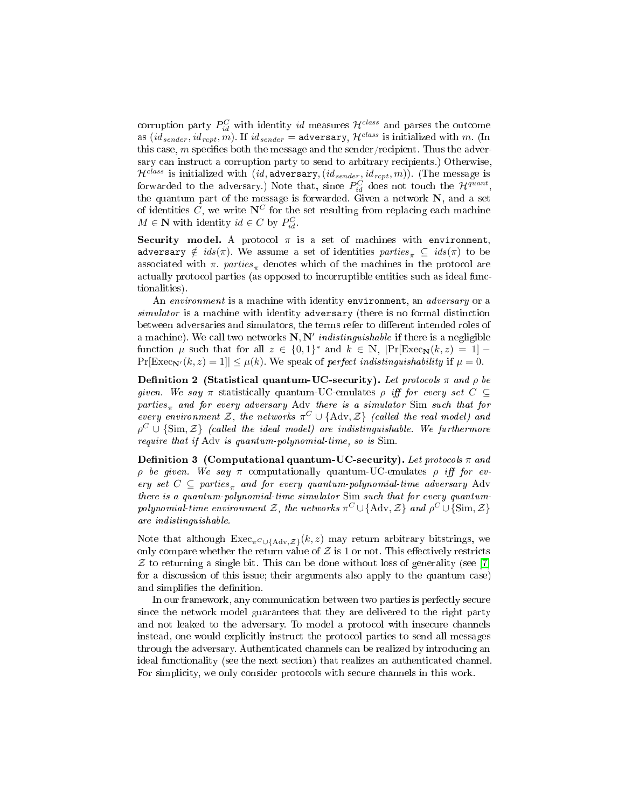<span id="page-9-0"></span>corruption party  $P_{id}^C$  with identity id measures  $\mathcal{H}^{class}$  and parses the outcome as  $(id_{sender}, id_{rcpt}, m)$ . If  $id_{sender} =$  adversary,  $\mathcal{H}^{class}$  is initialized with m. (In this case,  $m$  specifies both the message and the sender/recipient. Thus the adversary can instruct a corruption party to send to arbitrary recipients.) Otherwise,  $\mathcal{H}^{class}$  is initialized with  $(id,$  adversary,  $(id_{sender}, id_{rcpt}, m))$ . (The message is forwarded to the adversary.) Note that, since  $P_{id}^C$  does not touch the  $\mathcal{H}^{quant}$ , the quantum part of the message is forwarded. Given a network  $N$ , and a set of identities C, we write  $N^C$  for the set resulting from replacing each machine  $M \in \mathbf{N}$  with identity  $id \in C$  by  $P_{id}^C$ .

Security model. A protocol  $\pi$  is a set of machines with environment, adversary  $\notin i ds(\pi)$ . We assume a set of identities  $parties_{\pi} \subseteq i ds(\pi)$  to be associated with  $\pi$ . parties<sub>π</sub> denotes which of the machines in the protocol are actually protocol parties (as opposed to incorruptible entities such as ideal functionalities). tionalities).

An environment is a machine with identity environment, an *adversary* or a simulator is a machine with identity adversary (there is no formal distinction between adversaries and simulators, the terms refer to different intended roles of a machine). We call two networks  $\dot{N}, N'$  *indistinguishable* if there is a negligible function  $\mu$  such that for all  $z \in \{0,1\}^*$  and  $k \in \mathbb{N}$ ,  $|\Pr[\text{Exec}_{\mathbf{N}}(k,z) = 1]$  $Pr[Exec_{\mathbf{N}'}(k,z)=1] \leq \mu(k)$ . We speak of *perfect indistinguishability* if  $\mu=0$ .

Definition 2 (Statistical quantum-UC-security). Let protocols  $\pi$  and  $\rho$  be given. We say  $\pi$  statistically quantum-UC-emulates  $\rho$  iff for every set  $C \subseteq$ parties<sub>π</sub> and for every adversary Adv there is a simulator Sim such that for every environment Z, the networks  $\pi^C \cup \{\text{Adv}, \mathcal{Z}\}$  (called the real model) and  $\rho^C \cup \{\mathrm{Sim},\mathcal{Z}\}$  (called the ideal model) are indistinguishable. We furthermore require that if Adv is quantum-polynomial-time, so is Sim.

Definition 3 (Computational quantum-UC-security). Let protocols  $\pi$  and  $\rho$  be given. We say  $\pi$  computationally quantum-UC-emulates  $\rho$  iff for every set  $C \subseteq$  parties<sub>π</sub> and for every quantum-polynomial-time adversary Adv there is a quantum-polynomial-time simulator Sim su
h that for every quantumpolynomial-time environment Z, the networks  $\pi^C \cup \{\text{Adv}, \mathcal{Z}\}$  and  $\rho^C \cup \{\text{Sim}, \mathcal{Z}\}$ are indistinguishable.

Note that although  $\text{Exec}_{\pi^C\cup\{\text{Adv},\mathcal{Z}\}}(k,z)$  may return arbitrary bitstrings, we only compare whether the return value of  $\mathcal Z$  is 1 or not. This effectively restricts  $Z$  to returning a single bit. This can be done without loss of generality (see [7] for a dis
ussion of this issue; their arguments also apply to the quantum ase) and simplifies the definition.

In our framework, any communication between two parties is perfectly secure sin
e the network model guarantees that they are delivered to the right party and not leaked to the adversary. To model a protocol with insecure channels instead, one would explicitly instruct the protocol parties to send all messages through the adversary. Authenti
ated hannels an be realized by introdu
ing an ideal functionality (see the next section) that realizes an authenticated channel. For simplicity, we only consider protocols with secure channels in this work.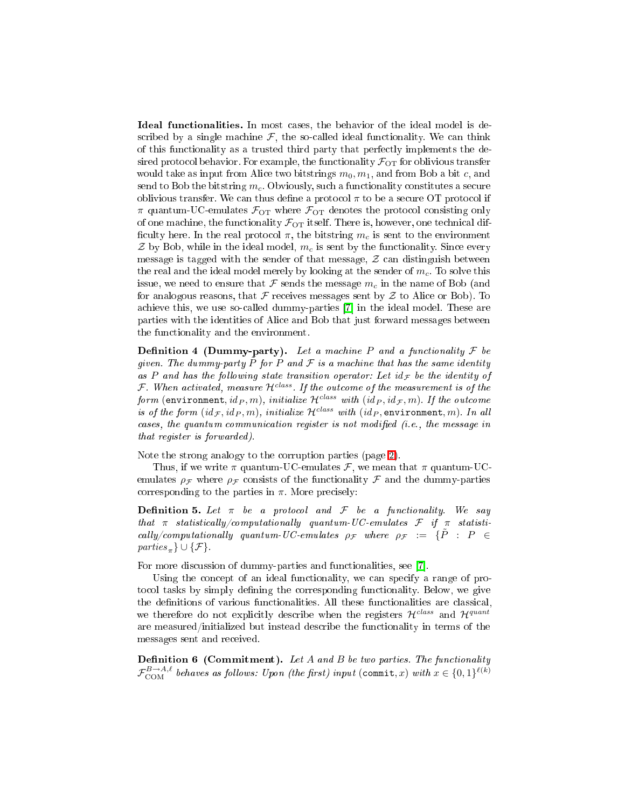Ideal functionalities. In most cases, the behavior of the ideal model is described by a single machine  $\mathcal F$ , the so-called ideal functionality. We can think of this fun
tionality as a trusted third party that perfe
tly implements the desired protocol behavior. For example, the functionality  $\mathcal{F}_{OT}$  for oblivious transfer would take as input from Alice two bitstrings  $m_0, m_1$ , and from Bob a bit c, and send to Bob the bitstring  $m_c$ . Obviously, such a functionality constitutes a secure oblivious transfer. We can thus define a protocol  $\pi$  to be a secure OT protocol if  $\pi$  quantum-UC-emulates  $\mathcal{F}_{\text{OT}}$  where  $\mathcal{F}_{\text{OT}}$  denotes the protocol consisting only of one machine, the functionality  $\mathcal{F}_{\text{OT}}$  itself. There is, however, one technical difficulty here. In the real protocol  $\pi$ , the bitstring  $m_c$  is sent to the environment  $\mathcal Z$  by Bob, while in the ideal model,  $m_c$  is sent by the functionality. Since every message is tagged with the sender of that message,  $\mathcal Z$  can distinguish between the real and the ideal model merely by looking at the sender of  $m_c$ . To solve this issue, we need to ensure that  $\mathcal F$  sends the message  $m_c$  in the name of Bob (and for analogous reasons, that F receives messages sent by  $\mathcal Z$  to Alice or Bob). To achieve this, we use so-called dummy-parties [7] in the ideal model. These are parties with the identities of Ali
e and Bob that just forward messages between the fun
tionality and the environment.

<span id="page-10-0"></span>**Definition 4 (Dummy-party).** Let a machine P and a functionality  $\mathcal F$  be given. The dummy-party  $\tilde{P}$  for P and F is a machine that has the same identity as P and has the following state transition operator: Let  $id_{\mathcal{F}}$  be the identity of F . When activated, measure  $\mathcal{H}^{class}$  . If the outcome of the measurement is of the form (environment, id p, m), initialize  $\mathcal{H}^{class}$  with  $(id_P, id_{\mathcal{F}}, m)$ . If the outcome is of the form  $(id_{\mathcal{F}}, id_{\mathcal{P}}, m)$ , initialize  $\mathcal{H}^{class}$  with  $(id_{\mathcal{P}}, \text{environment}, m)$ . In all cases, the quantum communication register is not modified (i.e., the message in that register is forwarded).

Note the strong analogy to the orruption parties (page [2\)](#page-9-0).

Thus, if we write  $\pi$  quantum-UC-emulates  $\mathcal{F}$ , we mean that  $\pi$  quantum-UCemulates  $\rho_{\mathcal{F}}$  where  $\rho_{\mathcal{F}}$  consists of the functionality  $\mathcal F$  and the dummy-parties corresponding to the parties in  $\pi$ . More precisely:

**Definition 5.** Let  $\pi$  be a protocol and  $\mathcal F$  be a functionality. We say that  $\pi$  statistically/computationally quantum-UC-emulates  $\mathcal F$  if  $\pi$  statistically/computationally quantum-UC-emulates  $\rho_{\mathcal{F}}$  where  $\rho_{\mathcal{F}} := \{ \tilde{P} : P \in$ parties<sub>π</sub>} ∪ { $\mathcal{F}$ }.

For more discussion of dummy-parties and functionalities, see [7].

Using the concept of an ideal functionality, we can specify a range of proto col tasks by simply defining the corresponding functionality. Below, we give the definitions of various functionalities. All these functionalities are classical, we therefore do not explicitly describe when the registers  $\mathcal{H}^{class}$  and  $\mathcal{H}^{quant}$ are measured/initialized but instead des
ribe the fun
tionality in terms of the messages sent and re
eived.

**Definition 6 (Commitment).** Let  $A$  and  $B$  be two parties. The functionality  ${\cal F}^{B\to A,\ell}_{\rm COM}$  behaves as follows: Upon (the first) input (commit, x) with  $x\in\{0,1\}^{\ell(k)}$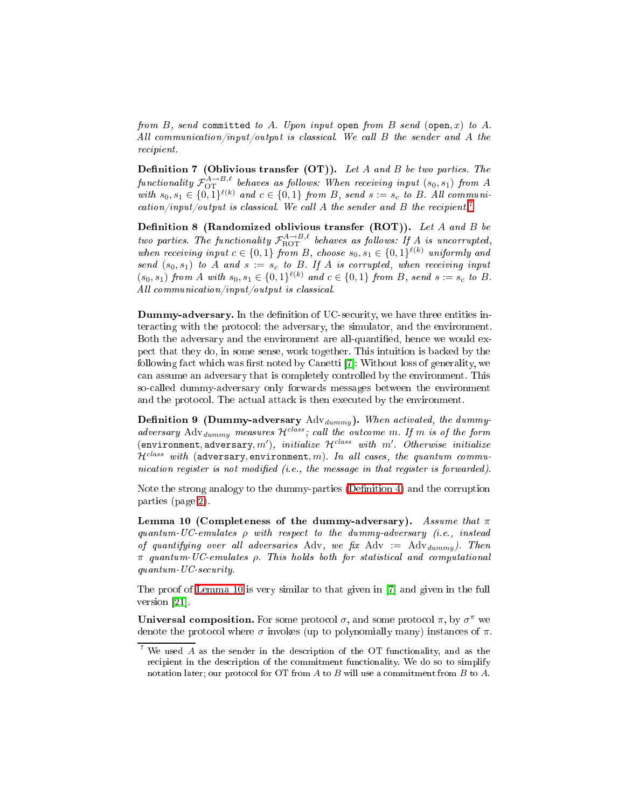from  $B$ , send committed to  $A$ . Upon input open from  $B$  send (open, x) to  $A$ . All communication/input/output is classical. We call  $B$  the sender and  $A$  the re
ipient.

Definition 7 (Oblivious transfer  $(OT)$ ). Let A and B be two parties. The functionality  $\mathcal{F}^{A\to B,\ell}_{\mathrm{OT}}$  behaves as follows: When receiving input  $(s_0,s_1)$  from A with  $s_0, s_1 \in \{0,1\}^{\ell(k)}$  and  $c \in \{0,1\}$  from B, send  $s := s_c$  to B. All communi- $\textit{cation} \textit{/input}/\textit{output}$  is classical. We call A the sender and B the recipient.<sup>[7](#page-11-0)</sup>

Definition 8 (Randomized oblivious transfer (ROT)). Let A and B be two parties. The functionality  $\mathcal{F}_{\rm ROT}^{A\to B,\ell}$  behaves as follows: If A is uncorrupted, when receiving input  $c \in \{0,1\}$  from B, choose  $s_0, s_1 \in \{0,1\}^{\ell(k)}$  uniformly and send  $(s_0, s_1)$  to A and  $s := s_c$  to B. If A is corrupted, when receiving input  $(s_0, s_1)$  from A with  $s_0, s_1 \in \{0,1\}^{\ell(k)}$  and  $c \in \{0,1\}$  from B, send  $s := s_c$  to B. All communication/input/output is classical.

**Dummy-adversary.** In the definition of UC-security, we have three entities intera
ting with the proto
ol: the adversary, the simulator, and the environment. Both the adversary and the environment are all-quantified, hence we would expe
t that they do, in some sense, work together. This intuition is ba
ked by the following fact which was first noted by Canetti [7]: Without loss of generality, we an assume an adversary that is ompletely ontrolled by the environment. This soalled dummy-adversary only forwards messages between the environment and the protocol. The actual attack is then executed by the environment.

<span id="page-11-2"></span>Definition 9 (Dummy-adversary  $Adv_{dummy}$ ). When activated, the dummyadversary  $\text{Adv}_{dummy}$  measures  $\mathcal{H}^{class}$ ; call the outcome m. If m is of the form (environment, adversary,  $m'$ ), initialize  $\mathcal{H}^{class}$  with  $m'$ . Otherwise initialize  $\mathcal{H}^{class}$  with (adversary, environment, m). In all cases, the quantum communication register is not modified (i.e., the message in that register is forwarded).

<span id="page-11-1"></span>Note the strong analogy to the dummy-parties (Definition 4) and the corruption parties (page [2\)](#page-9-0).

Lemma 10 (Completeness of the dummy-adversary). Assume that  $\pi$ quantum-UC-emulates  $\rho$  with respect to the dummy-adversary (i.e., instead of quantifying over all adversaries Adv, we fix Adv := Adv $_{dummy}$ ). Then  $\pi$  quantum-UC-emulates  $\rho$ . This holds both for statistical and computational  $quantum-UC\text{-}security.$ 

The proof of [Lemma](#page-11-1) 10 is very similar to that given in  $[7]$  and given in the full version  $[21]$ .

Universal composition. For some protocol  $\sigma$ , and some protocol  $\pi$ , by  $\sigma^{\pi}$  we denote the protocol where  $\sigma$  invokes (up to polynomially many) instances of  $\pi$ .

<span id="page-11-0"></span><sup>7</sup> We used A as the sender in the des
ription of the OT fun
tionality, and as the recipient in the description of the commitment functionality. We do so to simplify notation later; our protocol for  $\overline{O}T$  from A to B will use a commitment from B to A.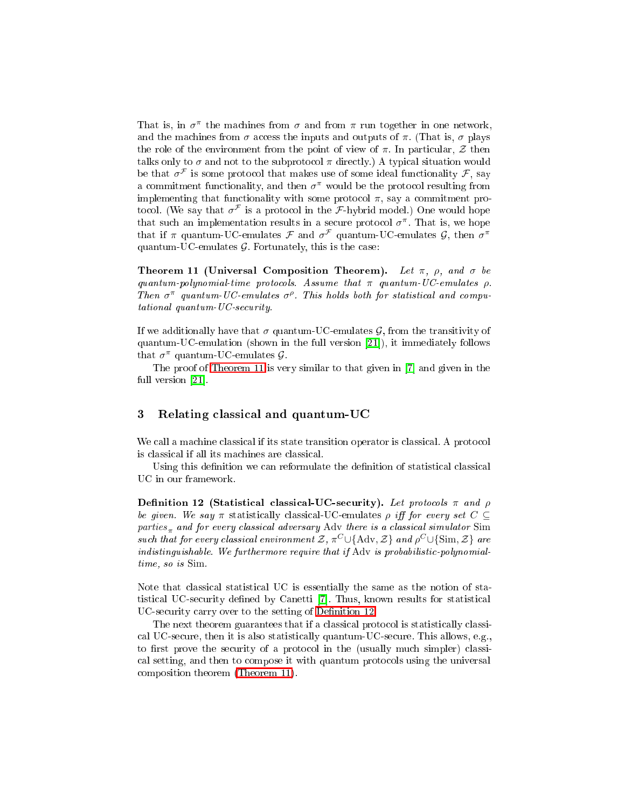That is, in  $\sigma^{\pi}$  the machines from  $\sigma$  and from  $\pi$  run together in one network, and the machines from  $\sigma$  access the inputs and outputs of  $\pi$ . (That is,  $\sigma$  plays the role of the environment from the point of view of  $\pi$ . In particular,  $\mathcal Z$  then talks only to  $\sigma$  and not to the subprotocol  $\pi$  directly.) A typical situation would be that  $\sigma^{\mathcal{F}}$  is some protocol that makes use of some ideal functionality  $\mathcal{F},$  say a commitment functionality, and then  $\sigma^{\pi}$  would be the protocol resulting from implementing that functionality with some protocol  $\pi$ , say a commitment protocol. (We say that  $\sigma^{\mathcal{F}}$  is a protocol in the  $\mathcal{F}\text{-}\mathrm{hybrid}$  model.) One would hope that such an implementation results in a secure protocol  $\sigma^{\pi}$ . That is, we hope that if  $\pi$  quantum-UC-emulates  $\mathcal F$  and  $\sigma^{\mathcal F}$  quantum-UC-emulates  $\mathcal G,$  then  $\sigma^{\pi}$ quantum-UC-emulates  $G$ . Fortunately, this is the case:

<span id="page-12-0"></span>Theorem 11 (Universal Composition Theorem). Let  $\pi$ ,  $\rho$ , and  $\sigma$  be quantum-polynomial-time protocols. Assume that  $\pi$  quantum-UC-emulates  $\rho$ . Then  $\sigma^{\pi}$  quantum-UC-emulates  $\sigma^{\rho}$ . This holds both for statistical and computational quantum-UC-security.

If we additionally have that  $\sigma$  quantum-UC-emulates  $\mathcal{G}$ , from the transitivity of quantum-UC-emulation (shown in the full version [21]), it immediately follows that  $\sigma^{\pi}$  quantum-UC-emulates  $\mathcal{G}$ .

The proof of [Theorem](#page-12-0) 11 is very similar to that given in  $[7]$  and given in the full version  $[21]$ .

#### 3Relating lassi
al and quantum-UC

We call a machine classical if its state transition operator is classical. A protocol is lassi
al if all its ma
hines are lassi
al.

<span id="page-12-1"></span>Using this definition we can reformulate the definition of statistical classical UC in our framework.

Definition 12 (Statistical classical-UC-security). Let protocols  $\pi$  and  $\rho$ be given. We say  $\pi$  statistically classical-UC-emulates  $\rho$  iff for every set  $C \subseteq$  $parts_{\pi}$  and for every classical adversary Adv there is a classical simulator Sim such that for every classical environment Z,  $\pi^C\cup\{{\rm Adv},\mathcal{Z}\}$  and  $\rho^C\cup\{{\rm Sim},\mathcal{Z}\}$  are  $indistinguishable. We furthermore require that if Adv is probabilistic-polynomial$ time, so is Sim.

Note that lassi
al statisti
al UC is essentially the same as the notion of statistical UC-security defined by Canetti [7]. Thus, known results for statistical UC-security carry over to the setting of Definition 12.

<span id="page-12-2"></span>The next theorem guarantees that if a classical protocol is statistically classial UC-se
ure, then it is also statisti
ally quantum-UC-se
ure. This allows, e.g., to first prove the security of a protocol in the (usually much simpler) classial setting, and then to ompose it with quantum proto
ols using the universal omposition theorem [\(Theorem](#page-12-0) 11).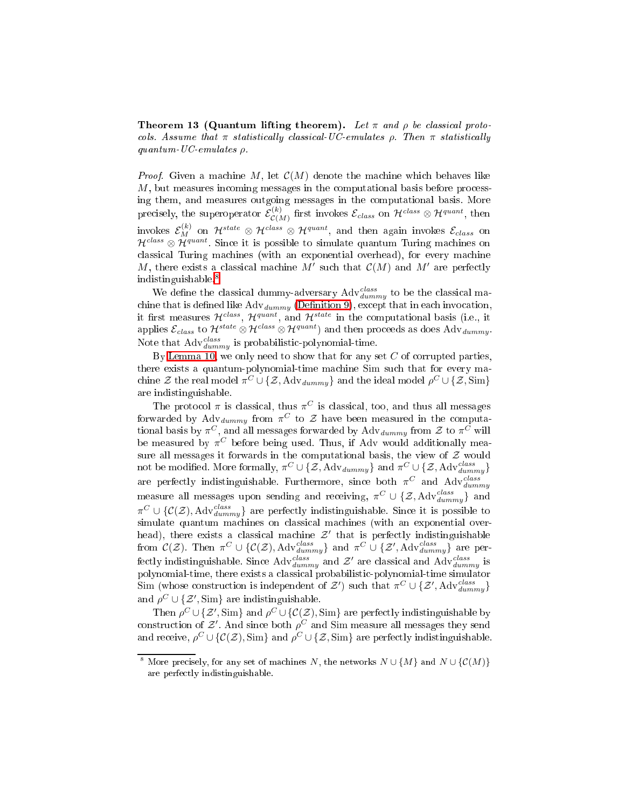Theorem 13 (Quantum lifting theorem). Let  $\pi$  and  $\rho$  be classical protocols. Assume that  $\pi$  statistically classical-UC-emulates  $\rho$ . Then  $\pi$  statistically quantum-UC-emulates  $\rho$ .

*Proof.* Given a machine M, let  $\mathcal{C}(M)$  denote the machine which behaves like M, but measures incoming messages in the computational basis before processing them, and measures outgoing messages in the omputational basis. More precisely, the superoperator  $\mathcal{E}_{\mathcal{C}(\Lambda)}^{(k)}$  $\mathcal{C}(M)$  first invokes  $\mathcal{E}_{class}$  on  $\mathcal{H}^{class} \otimes \mathcal{H}^{quant}$ , then invokes  $\mathcal{E}_M^{(k)}$  on  $\mathcal{H}^{state}\otimes\mathcal{H}^{class}\otimes\mathcal{H}^{quant},$  and then again invokes  $\mathcal{E}_{class}$  on  $\mathcal{H}^{class}\otimes\widetilde{\mathcal{H}}^{quant}.$  Since it is possible to simulate quantum Turing machines on lassi
al Turing ma
hines (with an exponential overhead), for every ma
hine M, there exists a classical machine M' such that  $\mathcal{C}(M)$  and M' are perfectly indistinguishable[.8](#page-13-0)

We define the classical dummy-adversary  $\mathrm{Adv}^{class}_{dummy}$  to be the classical machine that is defined like  $\text{Adv}_{dummy}$  (Definition 9), except that in each invocation, it first measures  $\mathcal{H}^{class}$ ,  $\mathcal{H}^{quant}$ , and  $\mathcal{H}^{state}$  in the computational basis (i.e., it applies  $\mathcal{E}_{class}$  to  $\mathcal{H}^{state}\otimes\mathcal{H}^{class}\otimes\mathcal{H}^{quant})$  and then proceeds as does  $\mathrm{Adv}_{dummy}.$ Note that  $\mathrm{Adv}_{dummy}^{class}$  is probabilistic-polynomial-time.

By [Lemma](#page-11-1) 10, we only need to show that for any set  $C$  of corrupted parties, there exists a quantum-polynomial-time ma
hine Sim su
h that for every ma chine  ${\cal Z}$  the real model  $\pi^C\cup\{{\cal Z}, {\rm Adv}_{dummy}\}$  and the ideal model  $\rho^C\cup\{{\cal Z}, {\rm Sim}\}$ are indistinguishable.

The protocol  $\pi$  is classical, thus  $\pi^C$  is classical, too, and thus all messages forwarded by Adv $_{dummy}$  from  $\pi^C$  to  $\mathcal Z$  have been measured in the computational basis by  $\pi^C$ , and all messages forwarded by  $\mathrm{Adv}_{dummy}$  from  $\mathcal Z$  to  $\pi^C$  will be measured by  $\pi^C$  before being used. Thus, if Adv would additionally measure all messages it forwards in the computational basis, the view of  $\mathcal Z$  would not be modified. More formally,  $\pi^C\cup\{\mathcal{Z},\mathrm{Adv}_{dummy}\}$  and  $\pi^C\cup\{\mathcal{Z},\mathrm{Adv}_{dummy}^{class}\}$ are perfectly indistinguishable. Furthermore, since both  $\pi^C$  and  $\mathrm{Adv}^{class}_{dummy}$ measure all messages upon sending and receiving,  $\pi^C \cup \{\mathcal{Z}, \text{Adv}_{dummy}^{class}\}$  and  $\pi^C \cup \{ \mathcal{C}(\mathcal{Z}), {\rm Adv}_{dummy}^{class} \}$  are perfectly indistinguishable. Since it is possible to simulate quantum machines on classical machines (with an exponential overhead), there exists a classical machine  $\mathcal{Z}'$  that is perfectly indistinguishable from  $\mathcal{C}( \mathcal{Z} )$ . Then  $\pi^C \cup \{ \mathcal{C}( \mathcal{Z} ), \mathrm{Adv}_{dummy}^{class} \}$  and  $\pi^C \cup \{ \mathcal{Z} ', \mathrm{Adv}_{dummy}^{class} \}$  are perfectly indistinguishable. Since  $\text{Adv}_{dummy}^{class}$  and  $\mathcal{Z}'$  are classical and  $\text{Adv}_{dummy}^{class}$  is polynomial-time, there exists a classical probabilistic-polynomial-time simulator Sim (whose construction is independent of  $\mathcal{Z}'$ ) such that  $\pi^C \cup \{ \mathcal{Z}', \text{Adv}_{dummy}^{class} \}$ and  $\rho^C \cup \{Z', \text{Sim}\}$  are indistinguishable.

Then  $\rho^C \cup \{ \mathcal{Z}', \mathrm{Sim} \}$  and  $\rho^C \cup \{ \mathcal{C}( \mathcal{Z} ), \mathrm{Sim} \}$  are perfectly indistinguishable by construction of  $\mathcal{Z}'$ . And since both  $\rho^C$  and Sim measure all messages they send and receive,  $\rho^C \cup \{ \mathcal{C}(\mathcal{Z}), \mathrm{Sim} \}$  and  $\rho^C \cup \{ \mathcal{Z}, \mathrm{Sim} \}$  are perfectly indistinguishable.

<span id="page-13-0"></span>More precisely, for any set of machines N, the networks  $N \cup \{M\}$  and  $N \cup \{C(M)\}$ are perfe
tly indistinguishable.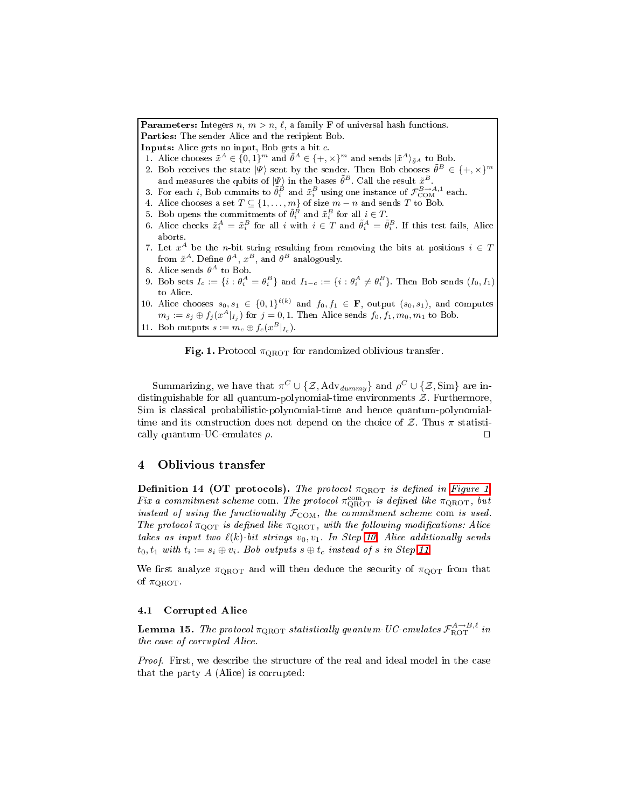<span id="page-14-6"></span><span id="page-14-5"></span>**Parameters:** Integers  $n, m > n, \ell$ , a family **F** of universal hash functions. Parties: The sender Alice and the recipient Bob. Inputs: Ali
e gets no input, Bob gets a bit c. 1. Alice chooses  $\tilde{x}^A \in \{0,1\}^m$  and  $\tilde{\theta}^A \in \{+,\times\}^m$  and sends  $|\tilde{x}^A\rangle_{\tilde{\theta}^A}$  to Bob. 2. Bob receives the state  $|\Psi\rangle$  sent by the sender. Then Bob chooses  $\tilde{\theta}^B \in \{+,\times\}^m$ and measures the qubits of  $|\Psi\rangle$  in the bases  $\tilde{\theta}^B$ . Call the result  $\tilde{x}^B$ .<br>3. For each *i*, Bob commits to  $\tilde{\theta}_i^B$  and  $\tilde{x}_i^B$  using one instance of  $\mathcal{F}_{COM}^{B\to A,1}$  each. 4. Alice chooses a set  $T \subseteq \{1, \ldots, m\}$  of size  $m - n$  and sends T to Bob. 5. Bob opens the commitments of  $\tilde{\theta}_i^{\tilde{B}}$  and  $\tilde{x}_i^B$  for all  $i \in T$ . 6. Alice checks  $\tilde{x}_i^A = \tilde{x}_i^B$  for all i with  $i \in T$  and  $\tilde{\theta}_i^A = \tilde{\theta}_i^B$ . If this test fails, Alice aborts. 7. Let  $x^A$  be the *n*-bit string resulting from removing the bits at positions  $i \in T$ from  $\tilde{x}^{A}$ . Define  $\theta^{A}, x^{B}$ , and  $\theta^{B}$  analogously. 8. Alice sends  $\theta^A$  to Bob. 9. Bob sets  $I_c:=\{i: \theta^A_i=\theta^B_i\}$  and  $I_{1-c}:=\{i: \theta^A_i\neq \theta^B_i\}.$  Then Bob sends  $(I_0,I_1)$ to Ali
e. 10. Alice chooses  $s_0, s_1 \in \{0,1\}^{\ell(k)}$  and  $f_0, f_1 \in \mathbf{F}$ , output  $(s_0, s_1)$ , and computes  $m_j := s_j \oplus f_j(x^A|_{I_j})$  for  $j = 0, 1$ . Then Alice sends  $f_0, f_1, m_0, m_1$  to Bob. 11. Bob outputs  $s := m_c \oplus f_c(x^B|_{I_c})$ .

**Fig. 1.** Protocol  $\pi_{\text{QROT}}$  for randomized oblivious transfer.

<span id="page-14-3"></span><span id="page-14-2"></span><span id="page-14-1"></span>Summarizing, we have that  $\pi^C \cup \{\mathcal{Z}, \mathrm{Adv}_{dummy}\}$  and  $\rho^C \cup \{\mathcal{Z}, \mathrm{Sim}\}$  are indistinguishable for all quantum-polynomial-time environments  $Z$ . Furthermore, Sim is classical probabilistic-polynomial-time and hence quantum-polynomialtime and its construction does not depend on the choice of  $\mathcal{Z}$ . Thus  $\pi$  statistically quantum-UC-emulates  $\rho$ . □

#### <span id="page-14-7"></span><span id="page-14-0"></span>4Oblivious transfer

**Definition 14 (OT protocols).** The protocol  $\pi_{\text{OROT}}$  is defined in [Figure](#page-14-1) 1. Fix a commitment scheme com. The protocol  $\pi_{\text{QROT}}^{\text{com}}$  is defined like  $\pi_{\text{QROT}}$ , but instead of using the functionality  $\mathcal{F}_{COM}$ , the commitment scheme com is used. The protocol  $\pi_{\text{QOT}}$  is defined like  $\pi_{\text{QROT}}$ , with the following modifications: Alice takes as input two  $\ell(k)$ -bit strings  $v_0, v_1$ . In Step [10,](#page-14-2) Alice additionally sends  $t_0, t_1$  with  $t_i := s_i \oplus v_i$ . Bob outputs  $s \oplus t_c$  instead of s in Step [11.](#page-14-3)

We first analyze  $\pi_{\text{QROT}}$  and will then deduce the security of  $\pi_{\text{QOT}}$  from that of  $\pi_{\text{QROT}}$ .

### <span id="page-14-4"></span>4.1 Corrupted Ali
e

**Lemma 15.** The protocol  $\pi_{\text{QROT}}$  statistically quantum-UC-emulates  $\mathcal{F}^{A\rightarrow B,\ell}_{\text{ROT}}$  in the case of corrupted Alice.

Proof. First, we describe the structure of the real and ideal model in the case that the party  $A$  (Alice) is corrupted: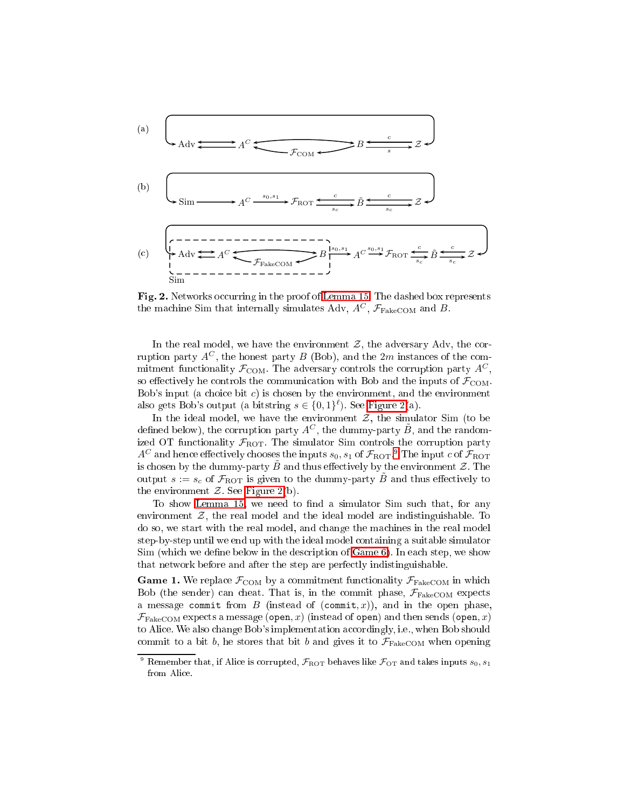

<span id="page-15-0"></span>Fig. 2. Networks occurring in the proof of [Lemma](#page-14-4) 15. The dashed box represents the machine Sim that internally simulates Adv,  $A^C$ ,  $\mathcal{F}_{\text{FakeCOM}}$  and B.

In the real model, we have the environment  $\mathcal{Z}$ , the adversary Adv, the corruption party  $A^C$ , the honest party B (Bob), and the 2m instances of the commitment functionality  $\mathcal{F}_{COM}$ . The adversary controls the corruption party  $A^C$ , so effectively he controls the communication with Bob and the inputs of  $\mathcal{F}_{COM}$ . Bob's input (a choice bit  $c$ ) is chosen by the environment, and the environment also gets Bob's output (a bitstring  $s \in \{0,1\}^{\ell}$ ). See [Figure](#page-15-0) 2(a).

In the ideal model, we have the environment  $\mathcal{Z}$ , the simulator Sim (to be defined below), the corruption party  $A^C$ , the dummy-party  $\tilde{B}$ , and the randomized OT functionality  $\mathcal{F}_{\text{ROT}}$ . The simulator Sim controls the corruption party  $A^C$  and hence effectively chooses the inputs  $s_0, s_1$  of  $\mathcal F_{\rm ROT}$  .  $^9$  $^9$  The input  $c$  of  $\mathcal F_{\rm ROT}$ is chosen by the dummy-party  $\tilde{B}$  and thus effectively by the environment  $\mathcal{Z}$ . The output  $s := s_c$  of  $\mathcal{F}_{\text{ROT}}$  is given to the dummy-party B and thus effectively to the environment  $Z$ . See [Figure](#page-15-0) 2(b).

To show [Lemma](#page-14-4) 15, we need to find a simulator Sim such that, for any environment  $\mathcal{Z}$ , the real model and the ideal model are indistinguishable. To do so, we start with the real model, and change the machines in the real model step-by-step until we end up with the ideal model ontaining a suitable simulator  $Sim$  (which we define below in the description of  $Game 6$  $Game 6$ ). In each step, we show that network before and after the step are perfe
tly indistinguishable.

**Game 1.** We replace  $\mathcal{F}_{COM}$  by a commitment functionality  $\mathcal{F}_{FakeCOM}$  in which Bob (the sender) can cheat. That is, in the commit phase,  $\mathcal{F}_{\text{FakeCOM}}$  expects a message commit from B (instead of (commit, x)), and in the open phase  $\mathcal{F}_{\text{FakeCOM}}$  expects a message (open, x) (instead of open) and then sends (open, x) to Alice. We also change Bob's implementation accordingly, i.e., when Bob should commit to a bit b, he stores that bit b and gives it to  $\mathcal{F}_{\text{FakeCOM}}$  when opening

<span id="page-15-1"></span><sup>&</sup>lt;sup>9</sup> Remember that, if Alice is corrupted,  $\mathcal{F}_{\text{ROT}}$  behaves like  $\mathcal{F}_{\text{OT}}$  and takes inputs  $s_0, s_1$ from Ali
e.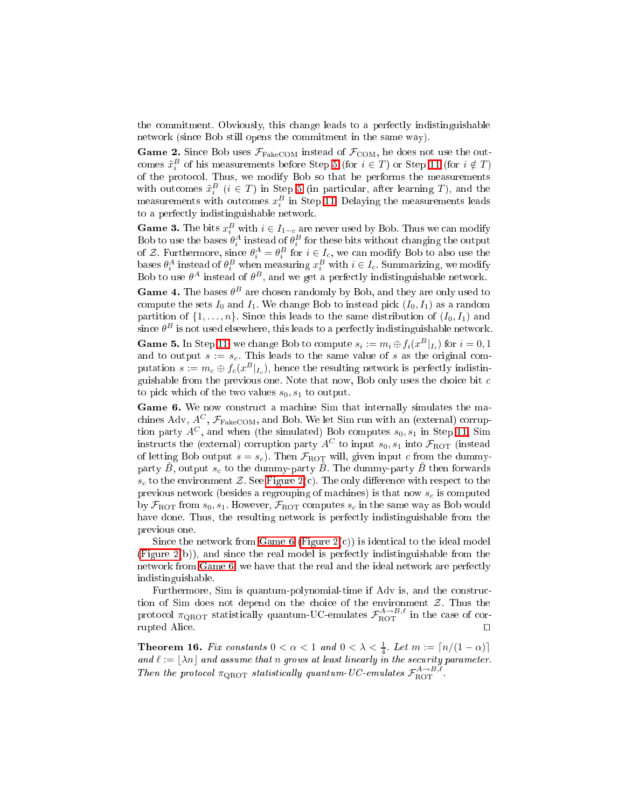the ommitment. Obviously, this hange leads to a perfe
tly indistinguishable network (sin
e Bob still opens the ommitment in the same way).

Game 2. Since Bob uses  $\mathcal{F}_{\text{FakeCOM}}$  instead of  $\mathcal{F}_{\text{COM}}$ , he does not use the outcomes  $\tilde{x}_i^B$  of his measurements before Step [5](#page-14-5) (for  $i \in T$ ) or Step [11](#page-14-3) (for  $i \notin T$ ) of the proto
ol. Thus, we modify Bob so that he performs the measurements with outcomes  $\tilde{x}_i^B$   $(i \in T)$  in Step [5](#page-14-5) (in particular, after learning T), and the measurements with outcomes  $x_i^B$  in Step [11.](#page-14-3) Delaying the measurements leads to a perfe
tly indistinguishable network.

**Game 3.** The bits  $x_i^B$  with  $i \in I_{1-c}$  are never used by Bob. Thus we can modify Bob to use the bases  $\theta_i^A$  instead of  $\theta_i^B$ Bob to use the bases  $b_i$  instead of  $b_i$  for these bits without changing the output<br>of Z. Furthermore, since  $\theta_i^A = \theta_i^B$  for  $i \in I_c$ , we can modify Bob to also use the bases  $\theta_i^A$  instead of  $\theta_i^B$  when measuring  $x_i^B$  with  $i \in I_c$ . Summarizing, we modify Bob to use  $\theta^A$  instead of  $\theta^B$ , and we get a perfectly indistinguishable network.

Game 4. The bases  $\theta^B$  are chosen randomly by Bob, and they are only used to compute the sets  $I_0$  and  $I_1$ . We change Bob to instead pick  $(I_0, I_1)$  as a random partition of  $\{1,\ldots,n\}$ . Since this leads to the same distribution of  $(I_0, I_1)$  and since  $\theta^B$  is not used elsewhere, this leads to a perfectly indistinguishable network.

**Game 5.** In Step [11,](#page-14-3) we change Bob to compute  $s_i := m_i \oplus f_i(x^B|_{I_i})$  for  $i = 0, 1$ and to output  $s := s_c$ . This leads to the same value of s as the original computation  $s := m_c \oplus f_c(x^B|_{I_c})$ , hence the resulting network is perfectly indistinguishable from the previous one. Note that now, Bob only uses the choice bit  $c$ to pick which of the two values  $s_0, s_1$  to output.

<span id="page-16-0"></span>Game 6. We now construct a machine Sim that internally simulates the machines Adv,  $A^C$ ,  $\mathcal{F}_{\mathrm{FakeCOM}},$  and Bob. We let Sim run with an (external) corruption party  $A^C$ , and when (the simulated) Bob computes  $s_0, s_1$  in Step [11,](#page-14-3) Sim instructs the (external) corruption party  $A^C$  to input  $s_0, s_1$  into  $\mathcal{F}_{\text{ROT}}$  (instead of letting Bob output  $s = s_c$ ). Then  $\mathcal{F}_{\text{ROT}}$  will, given input c from the dummyparty B, output  $s_c$  to the dummy-party  $\tilde{B}$ . The dummy-party  $\tilde{B}$  then forwards  $s_c$  to the environment Z. See [Figure](#page-15-0) 2(c). The only difference with respect to the previous network (besides a regrouping of machines) is that now  $s_c$  is computed by  $\mathcal{F}_{\text{ROT}}$  from  $s_0, s_1$ . However,  $\mathcal{F}_{\text{ROT}}$  computes  $s_c$  in the same way as Bob would have done. Thus, the resulting network is perfectly indistinguishable from the previous one.

Since the network from [Game](#page-16-0)  $6$  [\(Figure](#page-15-0)  $2(c)$ ) is identical to the ideal model [\(Figure](#page-15-0) 2(b)), and sin
e the real model is perfe
tly indistinguishable from the network from [Game](#page-16-0) 6, we have that the real and the ideal network are perfectly indistinguishable.

Furthermore, Sim is quantum-polynomial-time if Adv is, and the construction of Sim does not depend on the choice of the environment  $Z$ . Thus the protocol  $\pi_{\text{QROT}}$  statistically quantum-UC-emulates  $\mathcal{F}^{A\to B,\ell}_{\text{ROT}}$  in the case of corrupted Ali
e. ⊓⊔

<span id="page-16-1"></span>**Theorem 16.** Fix constants  $0 < \alpha < 1$  and  $0 < \lambda < \frac{1}{4}$ . Let  $m := \lceil n/(1-\alpha) \rceil$ and  $\ell := \lfloor \lambda n \rfloor$  and assume that n grows at least linearly in the security parameter. Then the protocol  $\pi_{\text{QROT}}$  statistically quantum-UC-emulates  $\mathcal{F}_{\text{ROT}}^{A\rightarrow B,\ell}$ .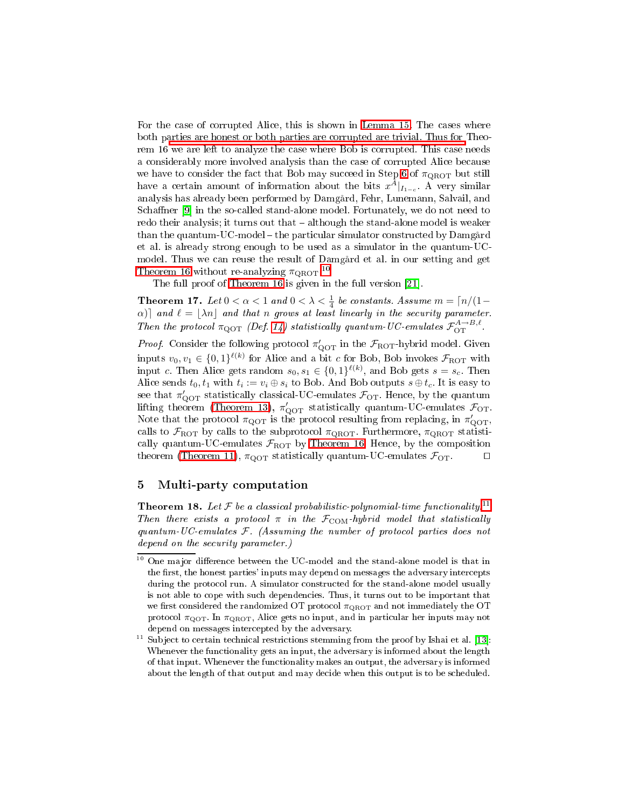For the case of corrupted Alice, this is shown in [Lemma](#page-14-4) 15. The cases where both parties are honest or both parties are orrupted are trivial. Thus for Theorem 16 we are left to analyze the case where Bob is corrupted. This case needs a considerably more involved analysis than the case of corrupted Alice because we have to consider the fact that Bob may succeed in Step [6](#page-14-6) of  $\pi_{\text{QROT}}$  but still have a certain amount of information about the bits  $x^A|_{I_{1-c}}$ . A very similar analysis has already been performed by Damgård, Fehr, Lunemann, Salvail, and Schaffner [9] in the so-called stand-alone model. Fortunately, we do not need to redo their analysis; it turns out that  $-\text{although the stand-alone model}$  is weaker than the quantum-UC-model – the particular simulator constructed by Damgård et al. is already strong enough to be used as a simulator in the quantum-UCmodel. Thus we an reuse the result of Damgård et al. in our setting and get [Theorem](#page-16-1) 16 without re-analyzing  $\pi_{\rm QROT}$ .<sup>[10](#page-17-0)</sup>

The full proof of [Theorem](#page-16-1)  $16$  is given in the full version  $[21]$ .

<span id="page-17-2"></span>**Theorem 17.** Let  $0 < \alpha < 1$  and  $0 < \lambda < \frac{1}{4}$  be constants. Assume  $m = \lceil n/(1-\frac{1}{4})\rceil$  $\alpha$ ) and  $\ell = \lfloor \lambda n \rfloor$  and that n grows at least linearly in the security parameter. Then the protocol  $\pi_{\text{QOT}}$  (Def. [14\)](#page-14-7) statistically quantum-UC-emulates  $\mathcal{F}_{\text{OT}}^{A \to B,\ell}$ .

*Proof.* Consider the following protocol  $\pi'_{\rm QOT}$  in the  $\mathcal{F}_{\rm ROT}$ -hybrid model. Given inputs  $v_0, v_1 \in \{0,1\}^{\ell(k)}$  for Alice and a bit c for Bob, Bob invokes  $\mathcal{F}_{\text{ROT}}$  with input c. Then Alice gets random  $s_0, s_1 \in \{0,1\}^{\ell(k)}$ , and Bob gets  $s = s_c$ . Then Alice sends  $t_0, t_1$  with  $t_i := v_i \oplus s_i$  to Bob. And Bob outputs  $s \oplus t_c$ . It is easy to see that  $\pi'_{\rm QOT}$  statistically classical-UC-emulates  $\mathcal{F}_{\rm OT}$ . Hence, by the quantum lifting theorem [\(Theorem](#page-12-2) 13),  $\pi'_{\rm QOT}$  statistically quantum-UC-emulates  $\mathcal{F}_{\rm OT}$ . Note that the protocol  $\pi_{\mathrm{QOT}}$  is the protocol resulting from replacing, in  $\pi'_{\mathrm{QOT}},$ calls to  $\mathcal{F}_{\text{ROT}}$  by calls to the subprotocol  $\pi_{\text{QROT}}$ . Furthermore,  $\pi_{\text{QROT}}$  statistically quantum-UC-emulates  $\mathcal{F}_{\text{ROT}}$  by [Theorem](#page-16-1) 16. Hence, by the composition theorem [\(Theorem](#page-12-0) 11),  $\pi_{\text{QOT}}$  statistically quantum-UC-emulates  $\mathcal{F}_{\text{OT}}$ . □

#### 5Multi-party omputation

<span id="page-17-3"></span>**Theorem 18.** Let F be a classical probabilistic-polynomial-time functionality.<sup>11</sup> Then there exists a protocol  $\pi$  in the  $\mathcal{F}_{COM}$ -hybrid model that statistically quantum-UC-emulates  $F$ . (Assuming the number of protocol parties does not depend on the security parameter.)

<span id="page-17-0"></span><sup>10</sup> One major difference between the UC-model and the stand-alone model is that in the first, the honest parties' inputs may depend on messages the adversary intercepts during the protocol run. A simulator constructed for the stand-alone model usually is not able to ope with su
h dependen
ies. Thus, it turns out to be important that we first considered the randomized OT protocol  $\pi_{\text{QROT}}$  and not immediately the OT protocol  $\pi_{\text{QOT}}$ . In  $\pi_{\text{QROT}}$ , Alice gets no input, and in particular her inputs may not depend on messages inter
epted by the adversary.

<span id="page-17-1"></span><sup>11</sup> Subject to certain technical restrictions stemming from the proof by Ishai et al. [13]: Whenever the functionality gets an input, the adversary is informed about the length of that input. Whenever the fun
tionality makes an output, the adversary is informed about the length of that output and may decide when this output is to be scheduled.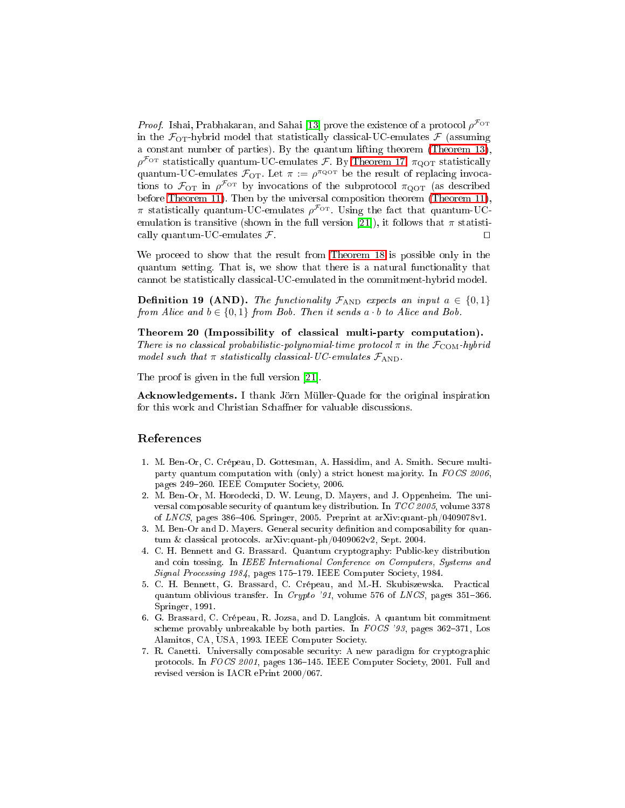*Proof.* Ishai, Prabhakaran, and Sahai [13] prove the existence of a protocol  $\rho^{\mathcal{P} \text{OT}}$ in the  $\mathcal{F}_{\text{OT}}$ -hybrid model that statistically classical-UC-emulates  $\mathcal{F}$  (assuming a onstant number of parties). By the quantum lifting theorem [\(Theorem](#page-12-2) 13),  $\rho^{\mathcal{F}_{\text{OT}}}$  statistically quantum-UC-emulates  $\mathcal{F}_{\cdot}$  By [Theorem](#page-17-2) 17,  $\pi_{\text{QOT}}$  statistically quantum-UC-emulates  $\mathcal{F}_{\text{OT}}$ . Let  $\pi := \rho^{\pi_{\text{QOT}}}$  be the result of replacing invocations to  $\mathcal{F}_{\text{OT}}$  in  $\rho^{\mathcal{F}_{\text{OT}}}$  by invocations of the subprotocol  $\pi_{\text{QOT}}$  (as described before [Theorem](#page-12-0) 11). Then by the universal omposition theorem [\(Theorem](#page-12-0) 11),  $\pi$  statistically quantum-UC-emulates  $\rho^{\mathcal{F}_{\text{OT}}}$ . Using the fact that quantum-UCemulation is transitive (shown in the full version [21]), it follows that  $\pi$  statistically quantum-UC-emulates  $\mathcal F$ . □

We proceed to show that the result from [Theorem](#page-17-3) 18 is possible only in the quantum setting. That is, we show that there is a natural functionality that annot be statisti
ally lassi
al-UC-emulated in the ommitment-hybrid model.

**Definition 19 (AND).** The functionality  $\mathcal{F}_{AND}$  expects an input  $a \in \{0,1\}$ from Alice and  $b \in \{0,1\}$  from Bob. Then it sends  $a \cdot b$  to Alice and Bob.

Theorem 20 (Impossibility of lassi
al multi-party omputation). There is no classical probabilistic-polynomial-time protocol  $\pi$  in the  $\mathcal{F}_{COM}$ -hybrid model such that  $\pi$  statistically classical UC-emulates  $\mathcal{F}_{AND}$ 

The proof is given in the full version  $[21]$ .

A
knowledgements. I thank Jörn Müller-Quade for the original inspiration for this work and Christian Schaffner for valuable discussions.

# <span id="page-18-6"></span>Referen
es

- 1. M. Ben-Or, C. Crépeau, D. Gottesman, A. Hassidim, and A. Smith. Se
ure multiparty quantum computation with (only) a strict honest majority. In FOCS 2006, pages 249-260. IEEE Computer Society, 2006.
- <span id="page-18-4"></span>2. M. Ben-Or, M. Horode
ki, D. W. Leung, D. Mayers, and J. Oppenheim. The universal omposable se
urity of quantum key distribution. In TCC 2005, volume 3378 of LNCS, pages 386406. Springer, 2005. Preprint at arXiv:quant-ph/0409078v1.
- <span id="page-18-3"></span>3. M. Ben-Or and D. Mayers. General security definition and composability for quantum & classical protocols. arXiv:quant-ph/0409062v2, Sept. 2004.
- <span id="page-18-0"></span>4. C. H. Bennett and G. Brassard. Quantum cryptography: Public-key distribution and oin tossing. In IEEE International Conferen
e on Computers, Systems and Signal Processing 1984, pages 175-179. IEEE Computer Society, 1984.
- <span id="page-18-1"></span>5. C. H. Bennett, G. Brassard, C. Crépeau, and M.-H. Skubiszewska. Practical quantum oblivious transfer. In Crypto '91, volume 576 of LNCS, pages 351-366. Springer, 1991.
- <span id="page-18-5"></span>6. G. Brassard, C. Crépeau, R. Jozsa, and D. Langlois. A quantum bit ommitment scheme provably unbreakable by both parties. In  $FOCS$  '93, pages 362-371, Los Alamitos, CA, USA, 1993. IEEE Computer So
iety.
- <span id="page-18-2"></span>7. R. Canetti. Universally composable security: A new paradigm for cryptographic protocols. In FOCS 2001, pages 136-145. IEEE Computer Society, 2001. Full and revised version is IACR ePrint 2000/067.